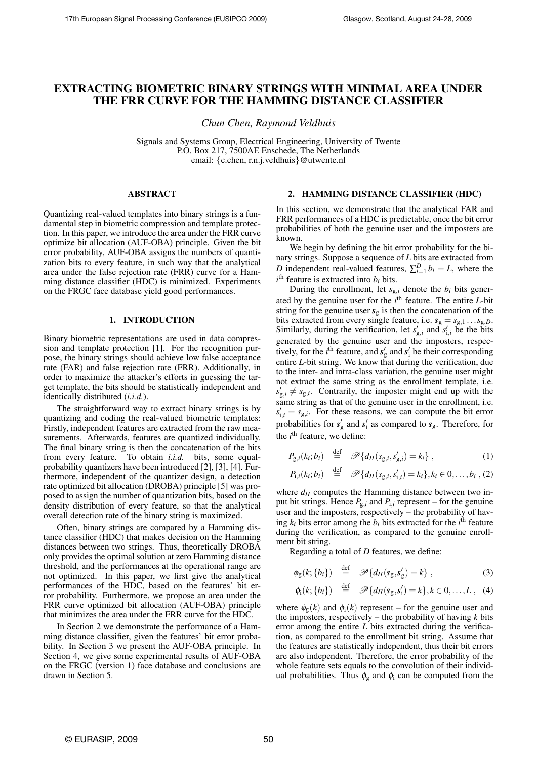# EXTRACTING BIOMETRIC BINARY STRINGS WITH MINIMAL AREA UNDER THE FRR CURVE FOR THE HAMMING DISTANCE CLASSIFIER

*Chun Chen, Raymond Veldhuis*

Signals and Systems Group, Electrical Engineering, University of Twente P.O. Box 217, 7500AE Enschede, The Netherlands email: {c.chen, r.n.j.veldhuis}@utwente.nl

### ABSTRACT

Quantizing real-valued templates into binary strings is a fundamental step in biometric compression and template protection. In this paper, we introduce the area under the FRR curve optimize bit allocation (AUF-OBA) principle. Given the bit error probability, AUF-OBA assigns the numbers of quantization bits to every feature, in such way that the analytical area under the false rejection rate (FRR) curve for a Hamming distance classifier (HDC) is minimized. Experiments on the FRGC face database yield good performances.

# 1. INTRODUCTION

Binary biometric representations are used in data compression and template protection [1]. For the recognition purpose, the binary strings should achieve low false acceptance rate (FAR) and false rejection rate (FRR). Additionally, in order to maximize the attacker's efforts in guessing the target template, the bits should be statistically independent and identically distributed (*i.i.d.*).

The straightforward way to extract binary strings is by quantizing and coding the real-valued biometric templates: Firstly, independent features are extracted from the raw measurements. Afterwards, features are quantized individually. The final binary string is then the concatenation of the bits from every feature. To obtain *i.i.d.* bits, some equalprobability quantizers have been introduced [2], [3], [4]. Furthermore, independent of the quantizer design, a detection rate optimized bit allocation (DROBA) principle [5] was proposed to assign the number of quantization bits, based on the density distribution of every feature, so that the analytical overall detection rate of the binary string is maximized.

Often, binary strings are compared by a Hamming distance classifier (HDC) that makes decision on the Hamming distances between two strings. Thus, theoretically DROBA only provides the optimal solution at zero Hamming distance threshold, and the performances at the operational range are not optimized. In this paper, we first give the analytical performances of the HDC, based on the features' bit error probability. Furthermore, we propose an area under the FRR curve optimized bit allocation (AUF-OBA) principle that minimizes the area under the FRR curve for the HDC.

In Section 2 we demonstrate the performance of a Hamming distance classifier, given the features' bit error probability. In Section 3 we present the AUF-OBA principle. In Section 4, we give some experimental results of AUF-OBA on the FRGC (version 1) face database and conclusions are drawn in Section 5.

# 2. HAMMING DISTANCE CLASSIFIER (HDC)

In this section, we demonstrate that the analytical FAR and FRR performances of a HDC is predictable, once the bit error probabilities of both the genuine user and the imposters are known.

We begin by defining the bit error probability for the binary strings. Suppose a sequence of *L* bits are extracted from *D* independent real-valued features,  $\sum_{i=1}^{D} b_i = L$ , where the  $i$ <sup>th</sup> feature is extracted into  $b_i$  bits.

During the enrollment, let  $s_{g,i}$  denote the  $b_i$  bits generated by the genuine user for the *i*<sup>th</sup> feature. The entire *L*-bit string for the genuine user  $s_g$  is then the concatenation of the bits extracted from every single feature, i.e.  $s_g = s_{g,1} \dots s_{g,D}$ . Similarly, during the verification, let  $s'_{g,i}$  and  $s'_{i,i}$  be the bits generated by the genuine user and the imposters, respectively, for the *i*<sup>th</sup> feature, and  $s'_g$  and  $s'_i$  be their corresponding entire *L*-bit string. We know that during the verification, due to the inter- and intra-class variation, the genuine user might not extract the same string as the enrollment template, i.e.  $s'_{g,i} \neq s_{g,i}$ . Contrarily, the imposter might end up with the same string as that of the genuine user in the enrollment, i.e.  $s'_{i,i} = s_{g,i}$ . For these reasons, we can compute the bit error probabilities for  $s'_g$  and  $s'_i$  as compared to  $s_g$ . Therefore, for the *i*<sup>th</sup> feature, we define:

$$
P_{g,i}(k_i; b_i) \stackrel{\text{def}}{=} \mathscr{P}\{d_H(s_{g,i}, s'_{g,i}) = k_i\},\tag{1}
$$

$$
P_{1,i}(k_i; b_i) \stackrel{\text{def}}{=} \mathscr{P}\{d_H(s_{g,i}, s_{1,i}') = k_i\}, k_i \in 0, \ldots, b_i, (2)
$$

where  $d_H$  computes the Hamming distance between two input bit strings. Hence  $P_{g,i}$  and  $P_{i,i}$  represent – for the genuine user and the imposters, respectively – the probability of having  $k_i$  bits error among the  $b_i$  bits extracted for the  $i^{\text{th}}$  feature during the verification, as compared to the genuine enrollment bit string.

Regarding a total of *D* features, we define:

$$
\phi_{g}(k; \{b_i\}) \stackrel{\text{def}}{=} \mathscr{P}\{d_H(s_g, s'_g) = k\},\tag{3}
$$

$$
\phi_i(k; \{b_i\}) \stackrel{\text{def}}{=} \mathscr{P}\{d_H(s_g, s_i') = k\}, k \in 0, \ldots, L \,, (4)
$$

where  $\phi_{g}(k)$  and  $\phi_{i}(k)$  represent – for the genuine user and the imposters, respectively – the probability of having  $k$  bits error among the entire *L* bits extracted during the verification, as compared to the enrollment bit string. Assume that the features are statistically independent, thus their bit errors are also independent. Therefore, the error probability of the whole feature sets equals to the convolution of their individual probabilities. Thus  $\phi_{\rm g}$  and  $\phi_{\rm i}$  can be computed from the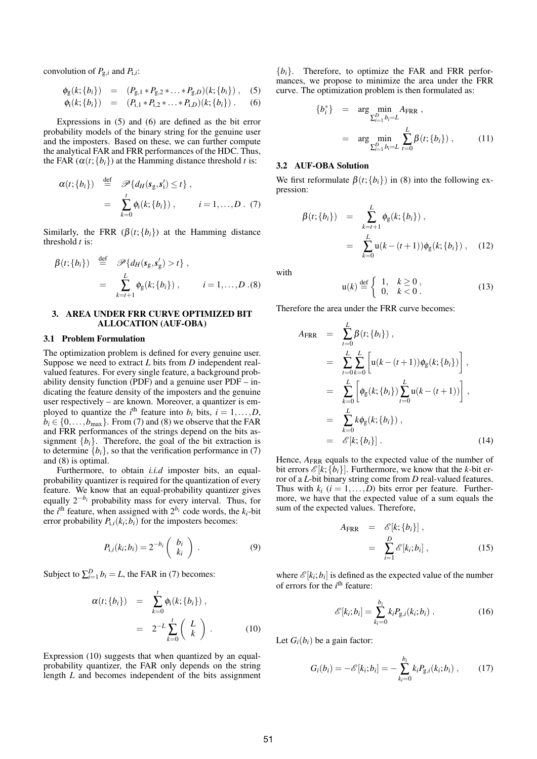convolution of  $P_{g,i}$  and  $P_{1,i}$ :

$$
\phi_{g}(k; \{b_i\}) = (P_{g,1} * P_{g,2} * ... * P_{g,D})(k; \{b_i\}), \quad (5)
$$

$$
\phi_i(k; \{b_i\}) = (P_{i,1} * P_{i,2} * \ldots * P_{i,D})(k; \{b_i\}) .
$$
 (6)

Expressions in (5) and (6) are defined as the bit error probability models of the binary string for the genuine user and the imposters. Based on these, we can further compute the analytical FAR and FRR performances of the HDC. Thus, the FAR  $(\alpha(t; \{b_i\})$  at the Hamming distance threshold *t* is:

$$
\alpha(t; \{b_i\}) \stackrel{\text{def}}{=} \mathscr{P}\{d_H(s_g, s_i') \leq t\},
$$
  

$$
= \sum_{k=0}^t \phi_i(k; \{b_i\}), \qquad i = 1, ..., D. \tag{7}
$$

Similarly, the FRR  $(\beta(t;\{b_i\})$  at the Hamming distance threshold *t* is:

$$
\beta(t; \{b_i\}) \stackrel{\text{def}}{=} \mathscr{P}\{d_H(s_g, s'_g) > t\},
$$
  

$$
= \sum_{k=t+1}^{L} \phi_g(k; \{b_i\}), \qquad i = 1, ..., D. (8)
$$

# 3. AREA UNDER FRR CURVE OPTIMIZED BIT ALLOCATION (AUF-OBA)

# 3.1 Problem Formulation

The optimization problem is defined for every genuine user. Suppose we need to extract *L* bits from *D* independent realvalued features. For every single feature, a background probability density function (PDF) and a genuine user PDF – indicating the feature density of the imposters and the genuine user respectively – are known. Moreover, a quantizer is employed to quantize the *i*<sup>th</sup> feature into  $b_i$  bits,  $i = 1, ..., D$ ,  $b_i \in \{0, \ldots, b_{\text{max}}\}$ . From (7) and (8) we observe that the FAR and FRR performances of the strings depend on the bits assignment  ${b_i}$ . Therefore, the goal of the bit extraction is to determine  $\{b_i\}$ , so that the verification performance in (7) and (8) is optimal.

Furthermore, to obtain *i.i.d* imposter bits, an equalprobability quantizer is required for the quantization of every feature. We know that an equal-probability quantizer gives equally  $2^{-b_i}$  probability mass for every interval. Thus, for the *i*<sup>th</sup> feature, when assigned with  $2^{b_i}$  code words, the  $k_i$ -bit error probability  $P_{1,i}(k_i; b_i)$  for the imposters becomes:

$$
P_{i,i}(k_i; b_i) = 2^{-b_i} \begin{pmatrix} b_i \\ k_i \end{pmatrix} . \tag{9}
$$

Subject to  $\sum_{i=1}^{D} b_i = L$ , the FAR in (7) becomes:

$$
\alpha(t; \{b_i\}) = \sum_{k=0}^{t} \phi_i(k; \{b_i\}),
$$

$$
= 2^{-L} \sum_{k=0}^{t} \binom{L}{k}.
$$
 (10)

Expression (10) suggests that when quantized by an equalprobability quantizer, the FAR only depends on the string length *L* and becomes independent of the bits assignment

 ${b_i}$ . Therefore, to optimize the FAR and FRR performances, we propose to minimize the area under the FRR curve. The optimization problem is then formulated as:

$$
b_i^* \} = \arg \min_{\sum_{i=1}^D b_i = L} A_{\text{FRR}} ,
$$
  
= 
$$
\arg \min_{\sum_{i=1}^D b_i = L} \sum_{t=0}^L \beta(t; \{b_i\}) ,
$$
 (11)

### 3.2 AUF-OBA Solution

{*b*

We first reformulate  $\beta(t; \{b_i\})$  in (8) into the following expression:

$$
\beta(t; \{b_i\}) = \sum_{k=t+1}^{L} \phi_{g}(k; \{b_i\}),
$$
  
= 
$$
\sum_{k=0}^{L} u(k-(t+1))\phi_{g}(k; \{b_i\}),
$$
 (12)

with

$$
\mathbf{u}(k) \stackrel{\text{def}}{=} \begin{cases} 1, & k \ge 0 \\ 0, & k < 0 \end{cases} \tag{13}
$$

Therefore the area under the FRR curve becomes:

$$
A_{\text{FRR}} = \sum_{t=0}^{L} \beta(t; \{b_i\}),
$$
  
\n
$$
= \sum_{t=0}^{L} \sum_{k=0}^{L} \left[ \mathbf{u}(k - (t+1)) \phi_{g}(k; \{b_i\}) \right],
$$
  
\n
$$
= \sum_{k=0}^{L} \left[ \phi_{g}(k; \{b_i\}) \sum_{t=0}^{L} \mathbf{u}(k - (t+1)) \right],
$$
  
\n
$$
= \sum_{k=0}^{L} k \phi_{g}(k; \{b_i\}),
$$
  
\n
$$
= \mathcal{E}[k; \{b_i\}].
$$
 (14)

Hence,  $A_{\text{FRR}}$  equals to the expected value of the number of bit errors  $\mathcal{E}[k; \{b_i\}]$ . Furthermore, we know that the *k*-bit error of a *L*-bit binary string come from *D* real-valued features. Thus with  $k_i$  ( $i = 1, \ldots, D$ ) bits error per feature. Furthermore, we have that the expected value of a sum equals the sum of the expected values. Therefore,

$$
A_{\text{FRR}} = \mathscr{E}[k; \{b_i\}],
$$
  
= 
$$
\sum_{i=1}^{D} \mathscr{E}[k_i; b_i],
$$
 (15)

where  $\mathcal{E}[k_i; b_i]$  is defined as the expected value of the number of errors for the *i*<sup>th</sup> feature:

$$
\mathscr{E}[k_i; b_i] = \sum_{k_i=0}^{b_i} k_i P_{g,i}(k_i; b_i) .
$$
 (16)

Let  $G_i(b_i)$  be a gain factor:

$$
G_i(b_i) = -\mathscr{E}[k_i; b_i] = -\sum_{k_i=0}^{b_i} k_i P_{g,i}(k_i; b_i) , \qquad (17)
$$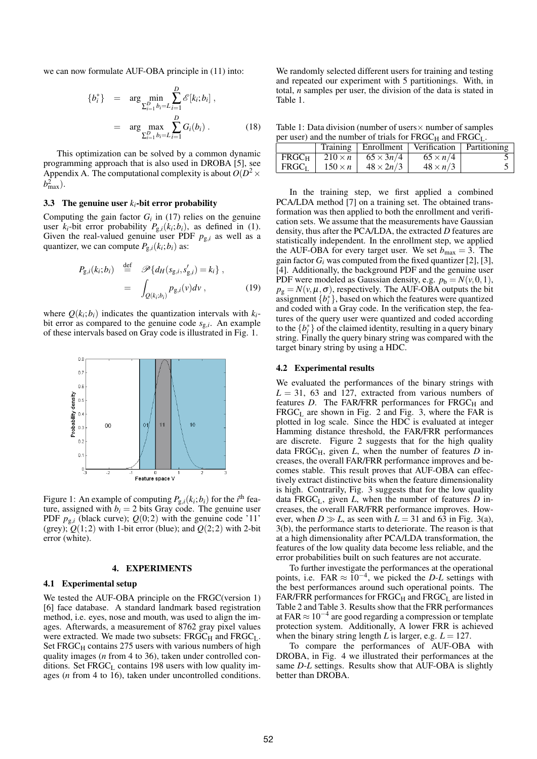we can now formulate AUF-OBA principle in (11) into:

$$
\{b_i^*\} = \arg \min_{\sum_{i=1}^D b_i = L} \sum_{i=1}^D \mathscr{E}[k_i; b_i],
$$
  
= 
$$
\arg \max_{\sum_{i=1}^D b_i = L} \sum_{i=1}^D G_i(b_i).
$$
 (18)

This optimization can be solved by a common dynamic programming approach that is also used in DROBA [5], see Appendix A. The computational complexity is about  $O(D^2 \times$  $b_{\max}^2$ ).

#### 3.3 The genuine user  $k_i$ -bit error probability

Computing the gain factor  $G_i$  in (17) relies on the genuine user  $k_i$ -bit error probability  $P_{g,i}(k_i; b_i)$ , as defined in (1). Given the real-valued genuine user PDF  $p_{g,i}$  as well as a quantizer, we can compute  $P_{g,i}(k_i; b_i)$  as:

$$
P_{g,i}(k_i; b_i) \stackrel{\text{def}}{=} \mathscr{P}\{d_H(s_{g,i}, s'_{g,i}) = k_i\},
$$
  

$$
= \int_{Q(k_i; b_i)} p_{g,i}(v) dv,
$$
 (19)

where  $Q(k_i; b_i)$  indicates the quantization intervals with  $k_i$ bit error as compared to the genuine code *s*g,*<sup>i</sup>* . An example of these intervals based on Gray code is illustrated in Fig. 1.



Figure 1: An example of computing  $P_{g,i}(k_i; b_i)$  for the *i*<sup>th</sup> feature, assigned with  $b_i = 2$  bits Gray code. The genuine user PDF  $p_{g,i}$  (black curve);  $Q(0,2)$  with the genuine code '11' (grey);  $Q(1,2)$  with 1-bit error (blue); and  $Q(2,2)$  with 2-bit error (white).

#### 4. EXPERIMENTS

### 4.1 Experimental setup

We tested the AUF-OBA principle on the FRGC(version 1) [6] face database. A standard landmark based registration method, i.e. eyes, nose and mouth, was used to align the images. Afterwards, a measurement of 8762 gray pixel values were extracted. We made two subsets:  $FRGC_H$  and  $FRGC_L$ . Set  $FRGC<sub>H</sub>$  contains 275 users with various numbers of high quality images (*n* from 4 to 36), taken under controlled conditions. Set  $F RGC<sub>L</sub>$  contains 198 users with low quality images (*n* from 4 to 16), taken under uncontrolled conditions.

We randomly selected different users for training and testing and repeated our experiment with 5 partitionings. With, in total, *n* samples per user, the division of the data is stated in Table 1.

Table 1: Data division (number of users  $\times$  number of samples per user) and the number of trials for  $FRGC<sub>U</sub>$  and  $FRGC<sub>U</sub>$ .

| $\mu$ and $\mu$ and the number of that's for TROCH and TROCH. |                |                  |                                                     |  |  |  |  |  |  |
|---------------------------------------------------------------|----------------|------------------|-----------------------------------------------------|--|--|--|--|--|--|
|                                                               |                |                  | Training   Enrollment   Verification   Partitioning |  |  |  |  |  |  |
| FRGC <sub>H</sub>                                             | $210 \times n$ | $65 \times 3n/4$ | $65 \times n/4$                                     |  |  |  |  |  |  |
| FRGC <sub>L</sub>                                             | $150 \times n$ | $48 \times 2n/3$ | $48 \times n/3$                                     |  |  |  |  |  |  |

In the training step, we first applied a combined PCA/LDA method [7] on a training set. The obtained transformation was then applied to both the enrollment and verification sets. We assume that the measurements have Gaussian density, thus after the PCA/LDA, the extracted *D* features are statistically independent. In the enrollment step, we applied the AUF-OBA for every target user. We set  $b_{\text{max}} = 3$ . The gain factor  $G_i$  was computed from the fixed quantizer [2], [3], [4]. Additionally, the background PDF and the genuine user PDF were modeled as Gaussian density, e.g.  $p_b = N(v, 0, 1)$ ,  $p_g = N(v, \mu, \sigma)$ , respectively. The AUF-OBA outputs the bit assignment  $\{b_i^*\}$ , based on which the features were quantized and coded with a Gray code. In the verification step, the features of the query user were quantized and coded according to the  $\{b_i^*\}$  of the claimed identity, resulting in a query binary string. Finally the query binary string was compared with the target binary string by using a HDC.

#### 4.2 Experimental results

We evaluated the performances of the binary strings with  $L = 31$ , 63 and 127, extracted from various numbers of features  $D$ . The FAR/FRR performances for FRGC $_H$  and  $F RGC<sub>L</sub>$  are shown in Fig. 2 and Fig. 3, where the FAR is plotted in log scale. Since the HDC is evaluated at integer Hamming distance threshold, the FAR/FRR performances are discrete. Figure 2 suggests that for the high quality data FRGC $_H$ , given *L*, when the number of features *D* increases, the overall FAR/FRR performance improves and becomes stable. This result proves that AUF-OBA can effectively extract distinctive bits when the feature dimensionality is high. Contrarily, Fig. 3 suggests that for the low quality data  $FRGC<sub>L</sub>$ , given *L*, when the number of features *D* increases, the overall FAR/FRR performance improves. However, when  $D \gg L$ , as seen with  $L = 31$  and 63 in Fig. 3(a), 3(b), the performance starts to deteriorate. The reason is that at a high dimensionality after PCA/LDA transformation, the features of the low quality data become less reliable, and the error probabilities built on such features are not accurate.

To further investigate the performances at the operational points, i.e. FAR  $\approx 10^{-4}$ , we picked the *D-L* settings with the best performances around such operational points. The FAR/FRR performances for  $FRGC_H$  and  $FRGC_L$  are listed in Table 2 and Table 3. Results show that the FRR performances at FAR ≈ 10−<sup>4</sup> are good regarding a compression or template protection system. Additionally, A lower FRR is achieved when the binary string length *L* is larger, e.g.  $L = 127$ .

To compare the performances of AUF-OBA with DROBA, in Fig. 4 we illustrated their performances at the same *D*-*L* settings. Results show that AUF-OBA is slightly better than DROBA.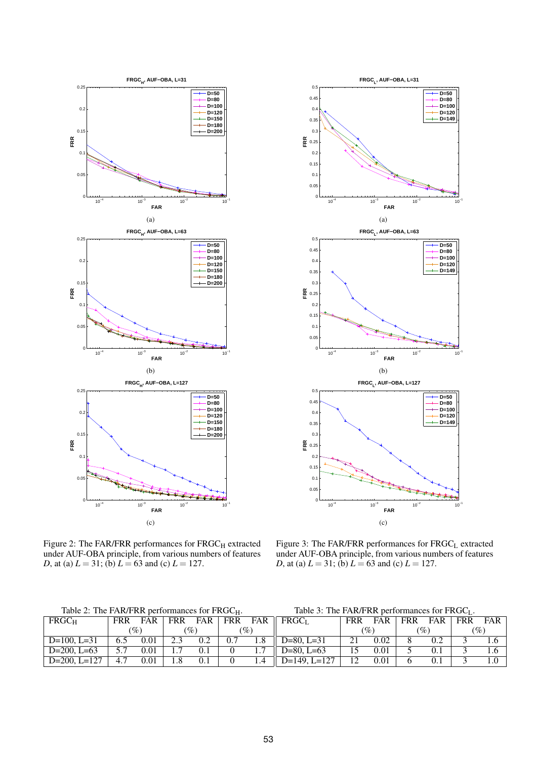



Figure 2: The FAR/FRR performances for  $FRGC_H$  extracted under AUF-OBA principle, from various numbers of features *D*, at (a)  $L = 31$ ; (b)  $L = 63$  and (c)  $L = 127$ .

Figure 3: The FAR/FRR performances for FRGC<sub>L</sub> extracted under AUF-OBA principle, from various numbers of features *D*, at (a)  $L = 31$ ; (b)  $L = 63$  and (c)  $L = 127$ .

Table 2: The FAR/FRR performances for FRGC<sub>H</sub>.

| Table 2: The FAR/FRR performances for FRGC <sub>H</sub> . |            |                 |     |                 | Table 3: The FAR/FRR performances for $F RGC_L$ . |                 |                          |            |            |                 |     |            |       |
|-----------------------------------------------------------|------------|-----------------|-----|-----------------|---------------------------------------------------|-----------------|--------------------------|------------|------------|-----------------|-----|------------|-------|
| FRGC <sub>H</sub>                                         | <b>FRR</b> | FAR             | FRR | FAR             | <b>FRR</b>                                        |                 | FAR    FRGC <sub>L</sub> | <b>FRR</b> | <b>FAR</b> | <b>FRR</b>      | FAR | <b>FRR</b> | FAR 1 |
|                                                           |            | $\mathscr{O}_0$ |     | $\mathscr{C}_o$ |                                                   | $\mathscr{O}_0$ |                          | $( \% )$   |            | $\mathcal{P}_o$ |     | (%)        |       |
| $D=100$ , $L=31$                                          | 6.5        | 0.01            |     | 0.2             | 0.7                                               |                 | $D=80$ . $L=31$          |            | 0.02       |                 |     |            |       |
| $D=200, L=63$                                             |            | 0.01            |     | 0.1             |                                                   |                 | $D=80$ . L $=63$         |            | 0.01       |                 |     |            |       |
| $D=200$ , $L=127$                                         |            | 0.01            |     | 0.1             |                                                   |                 | $D=149$ , $L=127$        | 12         | 0.01       |                 |     |            |       |